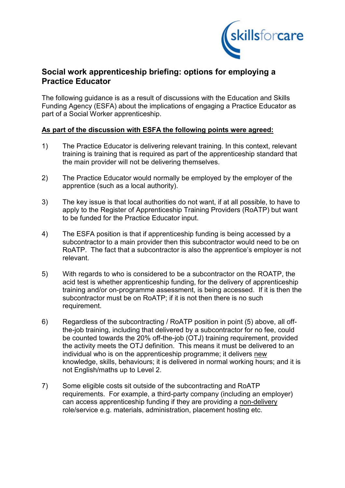

## **Social work apprenticeship briefing: options for employing a Practice Educator**

The following guidance is as a result of discussions with the Education and Skills Funding Agency (ESFA) about the implications of engaging a Practice Educator as part of a Social Worker apprenticeship.

## **As part of the discussion with ESFA the following points were agreed:**

- 1) The Practice Educator is delivering relevant training. In this context, relevant training is training that is required as part of the apprenticeship standard that the main provider will not be delivering themselves.
- 2) The Practice Educator would normally be employed by the employer of the apprentice (such as a local authority).
- 3) The key issue is that local authorities do not want, if at all possible, to have to apply to the Register of Apprenticeship Training Providers (RoATP) but want to be funded for the Practice Educator input.
- 4) The ESFA position is that if apprenticeship funding is being accessed by a subcontractor to a main provider then this subcontractor would need to be on RoATP. The fact that a subcontractor is also the apprentice's employer is not relevant.
- 5) With regards to who is considered to be a subcontractor on the ROATP, the acid test is whether apprenticeship funding, for the delivery of apprenticeship training and/or on-programme assessment, is being accessed. If it is then the subcontractor must be on RoATP; if it is not then there is no such requirement.
- 6) Regardless of the subcontracting / RoATP position in point (5) above, all offthe-job training, including that delivered by a subcontractor for no fee, could be counted towards the 20% off-the-job (OTJ) training requirement, provided the activity meets the OTJ definition. This means it must be delivered to an individual who is on the apprenticeship programme; it delivers new knowledge, skills, behaviours; it is delivered in normal working hours; and it is not English/maths up to Level 2.
- 7) Some eligible costs sit outside of the subcontracting and RoATP requirements. For example, a third-party company (including an employer) can access apprenticeship funding if they are providing a non-delivery role/service e.g. materials, administration, placement hosting etc.